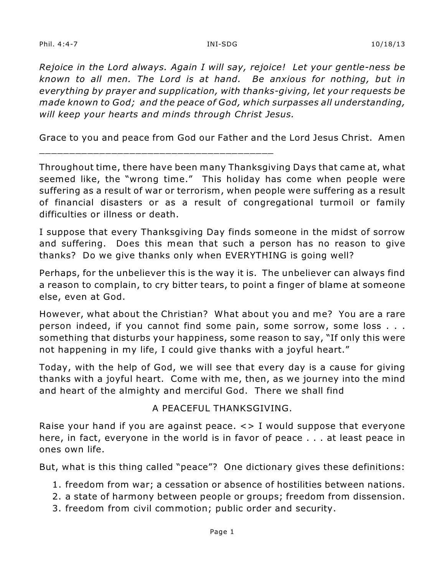Phil. 4:4-7 INI-SDG 10/18/13

*Rejoice in the Lord always. Again I will say, rejoice! Let your gentle-ness be known to all men. The Lord is at hand. Be anxious for nothing, but in everything by prayer and supplication, with thanks-giving, let your requests be made known to God; and the peace of God, which surpasses all understanding, will keep your hearts and minds through Christ Jesus.*

Grace to you and peace from God our Father and the Lord Jesus Christ. Amen

\_\_\_\_\_\_\_\_\_\_\_\_\_\_\_\_\_\_\_\_\_\_\_\_\_\_\_\_\_\_\_\_\_\_\_\_\_\_\_

Throughout time, there have been many Thanksgiving Days that came at, what seemed like, the "wrong time." This holiday has come when people were suffering as a result of war or terrorism, when people were suffering as a result of financial disasters or as a result of congregational turmoil or family difficulties or illness or death.

I suppose that every Thanksgiving Day finds someone in the midst of sorrow and suffering. Does this mean that such a person has no reason to give thanks? Do we give thanks only when EVERYTHING is going well?

Perhaps, for the unbeliever this is the way it is. The unbeliever can always find a reason to complain, to cry bitter tears, to point a finger of blame at someone else, even at God.

However, what about the Christian? What about you and me? You are a rare person indeed, if you cannot find some pain, some sorrow, some loss . . . something that disturbs your happiness, some reason to say, "If only this were not happening in my life, I could give thanks with a joyful heart."

Today, with the help of God, we will see that every day is a cause for giving thanks with a joyful heart. Come with me, then, as we journey into the mind and heart of the almighty and merciful God. There we shall find

## A PEACEFUL THANKSGIVING.

Raise your hand if you are against peace. <> I would suppose that everyone here, in fact, everyone in the world is in favor of peace . . . at least peace in ones own life.

But, what is this thing called "peace"? One dictionary gives these definitions:

- 1. freedom from war; a cessation or absence of hostilities between nations.
- 2. a state of harmony between people or groups; freedom from dissension.
- 3. freedom from civil commotion; public order and security.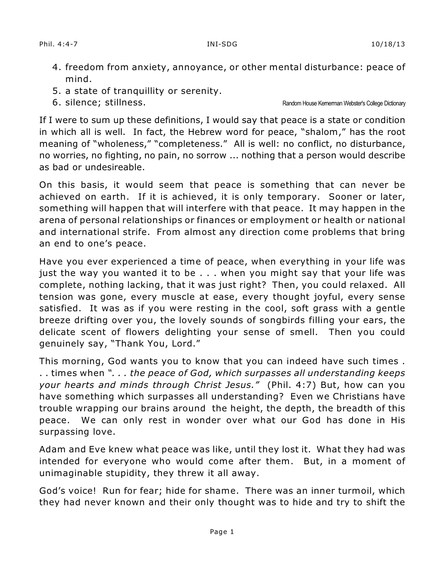- 4. freedom from anxiety, annoyance, or other mental disturbance: peace of mind.
- 5. a state of tranquillity or serenity.
- 

6. silence; stillness. Random House Kernerman Webster's College Dictionary

If I were to sum up these definitions, I would say that peace is a state or condition in which all is well. In fact, the Hebrew word for peace, "shalom," has the root meaning of "wholeness," "completeness." All is well: no conflict, no disturbance, no worries, no fighting, no pain, no sorrow ... nothing that a person would describe as bad or undesireable.

On this basis, it would seem that peace is something that can never be achieved on earth. If it is achieved, it is only temporary. Sooner or later, something will happen that will interfere with that peace. It may happen in the arena of personal relationships or finances or employment or health or national and international strife. From almost any direction come problems that bring an end to one's peace.

Have you ever experienced a time of peace, when everything in your life was just the way you wanted it to be . . . when you might say that your life was complete, nothing lacking, that it was just right? Then, you could relaxed. All tension was gone, every muscle at ease, every thought joyful, every sense satisfied. It was as if you were resting in the cool, soft grass with a gentle breeze drifting over you, the lovely sounds of songbirds filling your ears, the delicate scent of flowers delighting your sense of smell. Then you could genuinely say, "Thank You, Lord."

This morning, God wants you to know that you can indeed have such times . . . times when *". . . the peace of God, which surpasses all understanding keeps your hearts and minds through Christ Jesus."* (Phil. 4:7) But, how can you have something which surpasses all understanding? Even we Christians have trouble wrapping our brains around the height, the depth, the breadth of this peace. We can only rest in wonder over what our God has done in His surpassing love.

Adam and Eve knew what peace was like, until they lost it. What they had was intended for everyone who would come after them. But, in a moment of unimaginable stupidity, they threw it all away.

God's voice! Run for fear; hide for shame. There was an inner turmoil, which they had never known and their only thought was to hide and try to shift the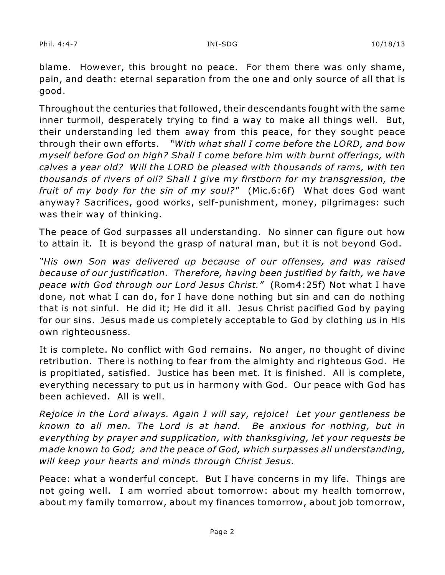blame. However, this brought no peace. For them there was only shame, pain, and death: eternal separation from the one and only source of all that is good.

Throughout the centuries that followed, their descendants fought with the same inner turmoil, desperately trying to find a way to make all things well. But, their understanding led them away from this peace, for they sought peace through their own efforts. *"With what shall I come before the LORD, and bow myself before God on high? Shall I come before him with burnt offerings, with calves a year old? Will the LORD be pleased with thousands of rams, with ten thousands of rivers of oil? Shall I give my firstborn for my transgression, the fruit of my body for the sin of my soul?"* (Mic.6:6f) What does God want anyway? Sacrifices, good works, self-punishment, money, pilgrimages: such was their way of thinking.

The peace of God surpasses all understanding. No sinner can figure out how to attain it. It is beyond the grasp of natural man, but it is not beyond God.

*"His own Son was delivered up because of our offenses, and was raised because of our justification. Therefore, having been justified by faith, we have peace with God through our Lord Jesus Christ."* (Rom4:25f) Not what I have done, not what I can do, for I have done nothing but sin and can do nothing that is not sinful. He did it; He did it all. Jesus Christ pacified God by paying for our sins. Jesus made us completely acceptable to God by clothing us in His own righteousness.

It is complete. No conflict with God remains. No anger, no thought of divine retribution. There is nothing to fear from the almighty and righteous God. He is propitiated, satisfied. Justice has been met. It is finished. All is complete, everything necessary to put us in harmony with God. Our peace with God has been achieved. All is well.

*Rejoice in the Lord always. Again I will say, rejoice! Let your gentleness be known to all men. The Lord is at hand. Be anxious for nothing, but in everything by prayer and supplication, with thanksgiving, let your requests be made known to God; and the peace of God, which surpasses all understanding, will keep your hearts and minds through Christ Jesus.*

Peace: what a wonderful concept. But I have concerns in my life. Things are not going well. I am worried about tomorrow: about my health tomorrow, about my family tomorrow, about my finances tomorrow, about job tomorrow,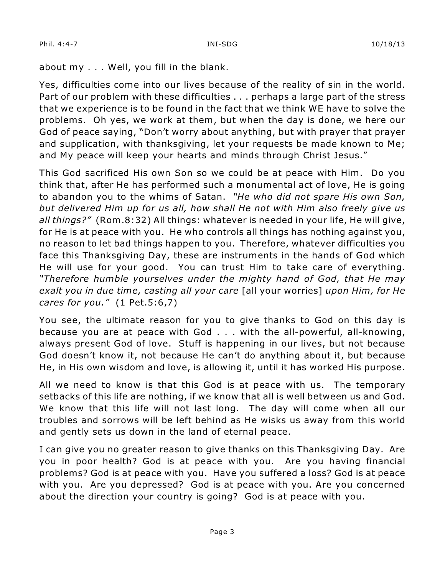about my . . . Well, you fill in the blank.

Yes, difficulties come into our lives because of the reality of sin in the world. Part of our problem with these difficulties . . . perhaps a large part of the stress that we experience is to be found in the fact that we think WE have to solve the problems. Oh yes, we work at them, but when the day is done, we here our God of peace saying, "Don't worry about anything, but with prayer that prayer and supplication, with thanksgiving, let your requests be made known to Me; and My peace will keep your hearts and minds through Christ Jesus."

This God sacrificed His own Son so we could be at peace with Him. Do you think that, after He has performed such a monumental act of love, He is going to abandon you to the whims of Satan. *"He who did not spare His own Son, but delivered Him up for us all, how shall He not with Him also freely give us all things?"* (Rom.8:32) All things: whatever is needed in your life, He will give, for He is at peace with you. He who controls all things has nothing against you, no reason to let bad things happen to you. Therefore, whatever difficulties you face this Thanksgiving Day, these are instruments in the hands of God which He will use for your good. You can trust Him to take care of everything. *"Therefore humble yourselves under the mighty hand of God, that He may exalt you in due time, casting all your care* [all your worries] *upon Him, for He cares for you."* (1 Pet.5:6,7)

You see, the ultimate reason for you to give thanks to God on this day is because you are at peace with God . . . with the all-powerful, all-knowing, always present God of love. Stuff is happening in our lives, but not because God doesn't know it, not because He can't do anything about it, but because He, in His own wisdom and love, is allowing it, until it has worked His purpose.

All we need to know is that this God is at peace with us. The temporary setbacks of this life are nothing, if we know that all is well between us and God. We know that this life will not last long. The day will come when all our troubles and sorrows will be left behind as He wisks us away from this world and gently sets us down in the land of eternal peace.

I can give you no greater reason to give thanks on this Thanksgiving Day. Are you in poor health? God is at peace with you. Are you having financial problems? God is at peace with you. Have you suffered a loss? God is at peace with you. Are you depressed? God is at peace with you. Are you concerned about the direction your country is going? God is at peace with you.